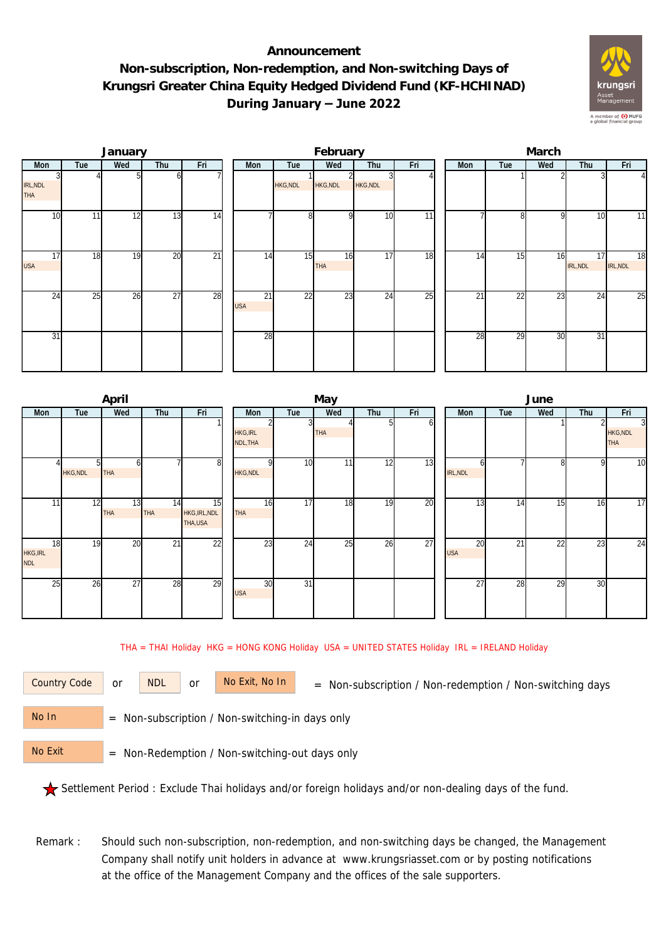## **Announcement Non-subscription, Non-redemption, and Non-switching Days of Krungsri Greater China Equity Hedged Dividend Fund (KF-HCHINAD) During January – June 2022**



|                        |     | January |                 |                 |                  |          | February         |          |     | March           |     |     |                |                 |  |  |
|------------------------|-----|---------|-----------------|-----------------|------------------|----------|------------------|----------|-----|-----------------|-----|-----|----------------|-----------------|--|--|
| Mon                    | Tue | Wed     | Thu             | Fri             | Mon              | Tue      | Wed              | Thu      | Fri | Mon             | Tue | Wed | Thu            | Fri             |  |  |
| IRL, NDL<br><b>THA</b> |     |         | ΩI              |                 |                  | HKG, NDL | <b>HKG, NDL</b>  | HKG, NDL |     |                 |     |     |                | $\overline{4}$  |  |  |
| 10                     | 11  | 12      | 13              | 14              |                  | 8        |                  | 10       | 11  |                 | 8   | q   | 10             | 11              |  |  |
| 17<br><b>USA</b>       | 18  | 19      | 20              | $\overline{21}$ | 14               | 15       | 16<br><b>THA</b> | 17       | 18  | 14              | 15  | 16  | 17<br>IRL, NDL | 18<br>IRL, NDL  |  |  |
| 24                     | 25  | 26      | $\overline{27}$ | 28              | 21<br><b>USA</b> | 22       | 23               | 24       | 25  | $\overline{2}1$ | 22  | 23  | 24             | $\overline{25}$ |  |  |
| 31                     |     |         |                 |                 | 28               |          |                  |          |     | 28              | 29  | 30  | 31             |                 |  |  |

|                                     |                          | April            |                  |                                |                             |                 | May             |            |     | June             |     |     |              |                                                 |  |  |
|-------------------------------------|--------------------------|------------------|------------------|--------------------------------|-----------------------------|-----------------|-----------------|------------|-----|------------------|-----|-----|--------------|-------------------------------------------------|--|--|
| Mon                                 | Wed<br>Thu<br>Fri<br>Tue |                  | Mon              | Tue                            | Wed                         | Thu             | Fri             | <b>Mon</b> | Tue | Wed              | Thu | Fri |              |                                                 |  |  |
|                                     |                          |                  |                  |                                | <b>HKG, IRL</b><br>NDL, THA | 3               | <b>THA</b>      | 51         | οı  |                  |     |     |              | $\overline{3}$<br><b>HKG, NDL</b><br><b>THA</b> |  |  |
|                                     | <b>HKG, NDL</b>          | <b>THA</b>       |                  | 8                              | <b>HKG, NDL</b>             | 10              | 11              | 12         | 13  | h<br>IRL, NDL    |     | 81  | $\mathsf{Q}$ | $\overline{10}$                                 |  |  |
| 11                                  | 12                       | 13<br><b>THA</b> | 14<br><b>THA</b> | 15<br>HKG, IRL, NDL<br>THA,USA | 16<br><b>THA</b>            | 17              | 18              | 19         | 20  | 13               | 14  | 15  | 16           | 17                                              |  |  |
| 18<br><b>HKG, IRL</b><br><b>NDL</b> | 19                       | 20               | 21               | $\overline{22}$                | 23                          | 24              | $2\overline{5}$ | 26         | 27  | 20<br><b>USA</b> | 21  | 22  | 23           | $\overline{24}$                                 |  |  |
| 25                                  | 26                       | 27               | 28               | 29                             | 30<br><b>USA</b>            | $\overline{31}$ |                 |            |     | $\overline{27}$  | 28  | 29  | 30           |                                                 |  |  |

THA = THAI Holiday HKG = HONG KONG Holiday USA = UNITED STATES Holiday IRL = IRELAND Holiday

or NDL or

Country Code or NDL or No Exit, No In = Non-subscription / Non-redemption / Non-switching days

 = Non-subscription / Non-switching-in days only No In

 = Non-Redemption / Non-switching-out days only No Exit

Settlement Period : Exclude Thai holidays and/or foreign holidays and/or non-dealing days of the fund.

Remark : Should such non-subscription, non-redemption, and non-switching days be changed, the Management Company shall notify unit holders in advance at www.krungsriasset.com or by posting notifications at the office of the Management Company and the offices of the sale supporters.